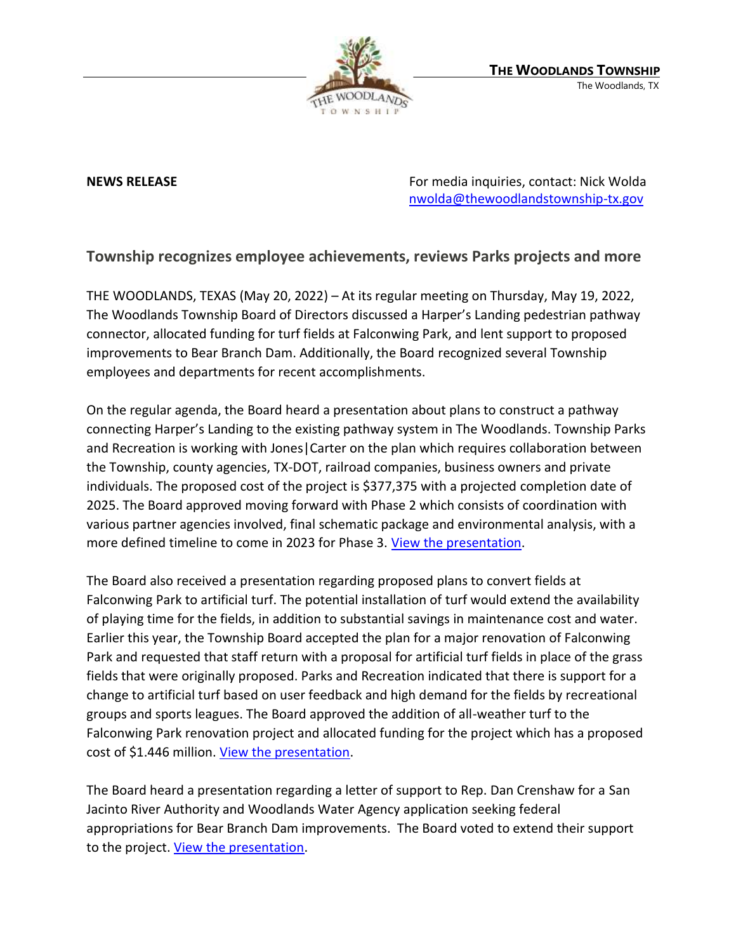

**NEWS RELEASE EXECUTE: RELEASE EXECUTE: For media inquiries, contact: Nick Wolda** [nwolda@thewoodlandstownship-tx.gov](mailto:nwolda@thewoodlandstownship-tx.gov)

## **Township recognizes employee achievements, reviews Parks projects and more**

THE WOODLANDS, TEXAS (May 20, 2022) – At its regular meeting on Thursday, May 19, 2022, The Woodlands Township Board of Directors discussed a Harper's Landing pedestrian pathway connector, allocated funding for turf fields at Falconwing Park, and lent support to proposed improvements to Bear Branch Dam. Additionally, the Board recognized several Township employees and departments for recent accomplishments.

On the regular agenda, the Board heard a presentation about plans to construct a pathway connecting Harper's Landing to the existing pathway system in The Woodlands. Township Parks and Recreation is working with Jones|Carter on the plan which requires collaboration between the Township, county agencies, TX-DOT, railroad companies, business owners and private individuals. The proposed cost of the project is \$377,375 with a projected completion date of 2025. The Board approved moving forward with Phase 2 which consists of coordination with various partner agencies involved, final schematic package and environmental analysis, with a more defined timeline to come in 2023 for Phase 3. [View the presentation.](https://www.thewoodlandstownship-tx.gov/Archive.aspx?ADID=12313)

The Board also received a presentation regarding proposed plans to convert fields at Falconwing Park to artificial turf. The potential installation of turf would extend the availability of playing time for the fields, in addition to substantial savings in maintenance cost and water. Earlier this year, the Township Board accepted the plan for a major renovation of Falconwing Park and requested that staff return with a proposal for artificial turf fields in place of the grass fields that were originally proposed. Parks and Recreation indicated that there is support for a change to artificial turf based on user feedback and high demand for the fields by recreational groups and sports leagues. The Board approved the addition of all-weather turf to the Falconwing Park renovation project and allocated funding for the project which has a proposed cost of \$1.446 million. [View the presentation.](https://www.thewoodlandstownship-tx.gov/Archive.aspx?ADID=12312)

The Board heard a presentation regarding a letter of support to Rep. Dan Crenshaw for a San Jacinto River Authority and Woodlands Water Agency application seeking federal appropriations for Bear Branch Dam improvements. The Board voted to extend their support to the project. [View the presentation.](https://www.thewoodlandstownship-tx.gov/Archive.aspx?ADID=12311)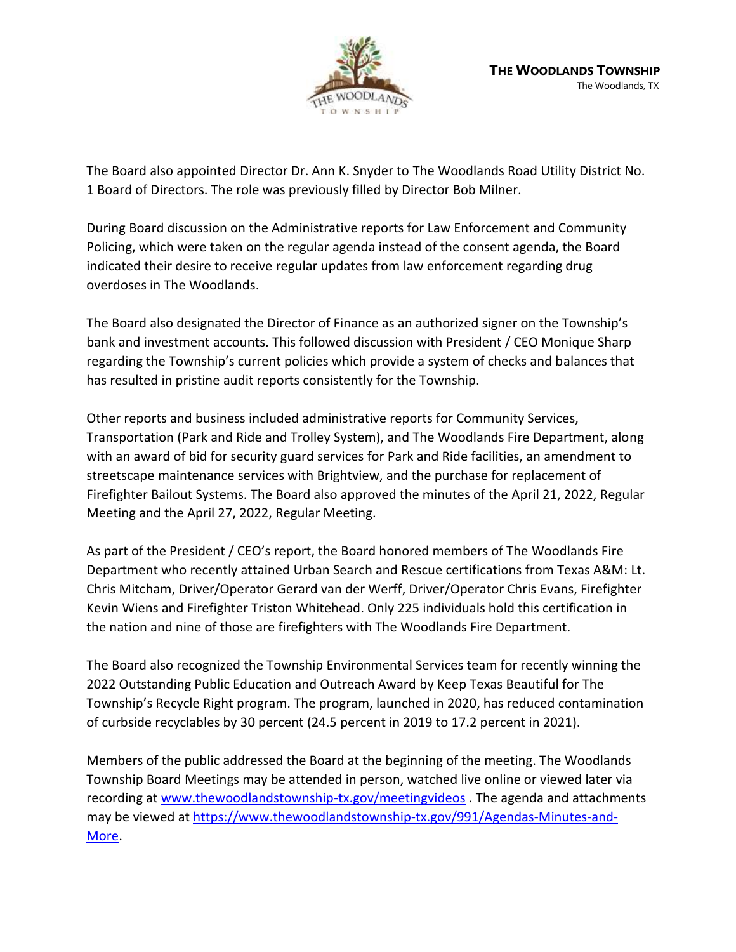

The Board also appointed Director Dr. Ann K. Snyder to The Woodlands Road Utility District No. 1 Board of Directors. The role was previously filled by Director Bob Milner.

During Board discussion on the Administrative reports for Law Enforcement and Community Policing, which were taken on the regular agenda instead of the consent agenda, the Board indicated their desire to receive regular updates from law enforcement regarding drug overdoses in The Woodlands.

The Board also designated the Director of Finance as an authorized signer on the Township's bank and investment accounts. This followed discussion with President / CEO Monique Sharp regarding the Township's current policies which provide a system of checks and balances that has resulted in pristine audit reports consistently for the Township.

Other reports and business included administrative reports for Community Services, Transportation (Park and Ride and Trolley System), and The Woodlands Fire Department, along with an award of bid for security guard services for Park and Ride facilities, an amendment to streetscape maintenance services with Brightview, and the purchase for replacement of Firefighter Bailout Systems. The Board also approved the minutes of the April 21, 2022, Regular Meeting and the April 27, 2022, Regular Meeting.

As part of the President / CEO's report, the Board honored members of The Woodlands Fire Department who recently attained Urban Search and Rescue certifications from Texas A&M: Lt. Chris Mitcham, Driver/Operator Gerard van der Werff, Driver/Operator Chris Evans, Firefighter Kevin Wiens and Firefighter Triston Whitehead. Only 225 individuals hold this certification in the nation and nine of those are firefighters with The Woodlands Fire Department.

The Board also recognized the Township Environmental Services team for recently winning the 2022 Outstanding Public Education and Outreach Award by Keep Texas Beautiful for The Township's Recycle Right program. The program, launched in 2020, has reduced contamination of curbside recyclables by 30 percent (24.5 percent in 2019 to 17.2 percent in 2021).

Members of the public addressed the Board at the beginning of the meeting. The Woodlands Township Board Meetings may be attended in person, watched live online or viewed later via recording at [www.thewoodlandstownship-tx.gov/meetingvideos](http://www.thewoodlandstownship-tx.gov/meetingvideos). The agenda and attachments may be viewed at [https://www.thewoodlandstownship-tx.gov/991/Agendas-Minutes-and-](https://www.thewoodlandstownship-tx.gov/991/Agendas-Minutes-and-More)[More.](https://www.thewoodlandstownship-tx.gov/991/Agendas-Minutes-and-More)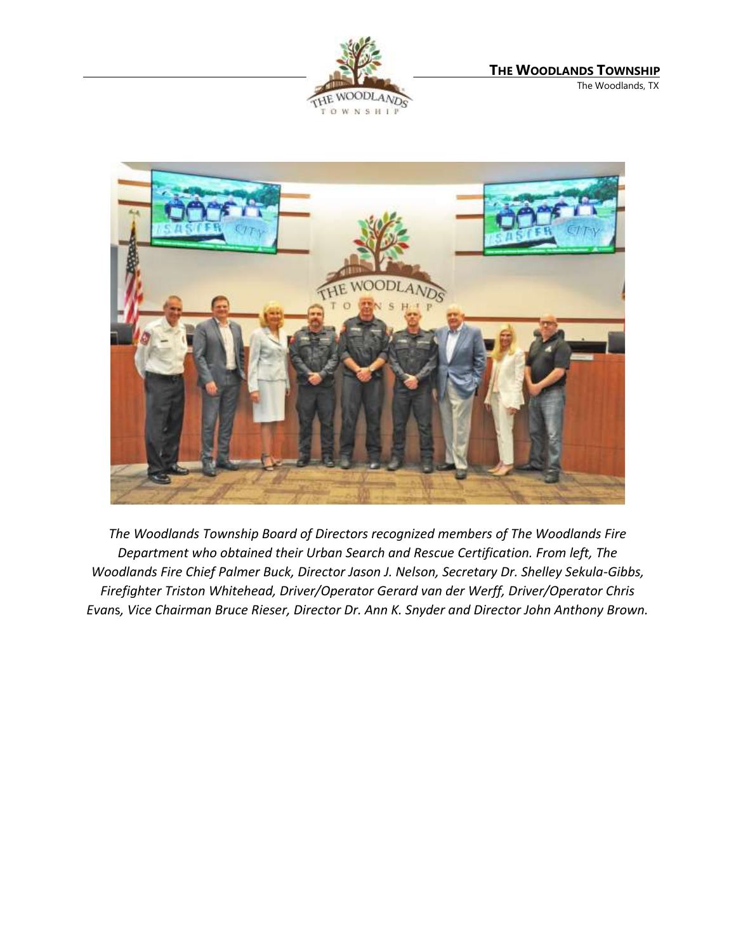



*The Woodlands Township Board of Directors recognized members of The Woodlands Fire Department who obtained their Urban Search and Rescue Certification. From left, The Woodlands Fire Chief Palmer Buck, Director Jason J. Nelson, Secretary Dr. Shelley Sekula-Gibbs, Firefighter Triston Whitehead, Driver/Operator Gerard van der Werff, Driver/Operator Chris Evan*s*, Vice Chairman Bruce Rieser, Director Dr. Ann K. Snyder and Director John Anthony Brown.*